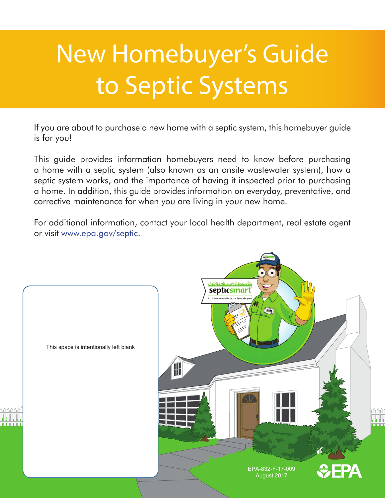# New Homebuyer's Guide to Septic Systems

If you are about to purchase a new home with a septic system, this homebuyer guide is for you!

This guide provides information homebuyers need to know before purchasing a home with a septic system (also known as an onsite wastewater system), how a septic system works, and the importance of having it inspected prior to purchasing a home. In addition, this guide provides information on everyday, preventative, and corrective maintenance for when you are living in your new home.

For additional information, contact your local health department, real estate agent or visit www.epa.gov/septic.

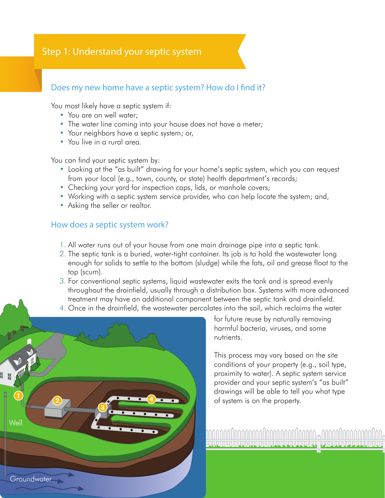# Step 1: Understand your septic system

#### Does my new home have a septic system? How do I find it?

You most likely have a septic system if:

- You are on well water;
- The water line coming into your house does not have a meter;
- Your neighbors have a septic system; or,
- You live in a rural area.

You can find your septic system by:

- Looking at the "as built" drawing for your home's septic system, which you can request from your local (e.g., town, county, or state) health department's records;
- Checking your yard for inspection caps, lids, or manhole covers;
- Working with a septic system service provider, who can help locate the system; and,
- Asking the seller or realtor.

#### How does a septic system work?

- 1. All water runs out of your house from one main drainage pipe into a septic tank.
- 2. The septic tank is a buried, water-tight container. Its job is to hold the wastewater long enough for solids to settle to the bottom (sludge) while the fats, oil and grease float to the top (scum).
- 3. For conventional septic systems, liquid wastewater exits the tank and is spread evenly throughout the drainfield, usually through a distribution box. Systems with more advanced treatment may have an additional component between the septic tank and drainfield.
- 4. Once in the drainfield, the wastewater percolates into the soil, which reclaims the water



for future reuse by naturally removing harmful bacteria, viruses, and some nutrients.

This process may vary based on the site conditions of your property (e.g., soil type, proximity to water). A septic system service provider and your septic system's "as built" drawings will be able to tell you what type of system is on the property.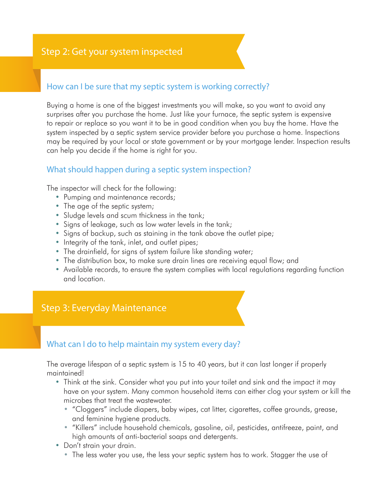#### How can I be sure that my septic system is working correctly?

Buying a home is one of the biggest investments you will make, so you want to avoid any surprises after you purchase the home. Just like your furnace, the septic system is expensive to repair or replace so you want it to be in good condition when you buy the home. Have the system inspected by a septic system service provider before you purchase a home. Inspections may be required by your local or state government or by your mortgage lender. Inspection results can help you decide if the home is right for you.

#### What should happen during a septic system inspection?

The inspector will check for the following:

- Pumping and maintenance records;
- The age of the septic system;
- Sludge levels and scum thickness in the tank;
- Signs of leakage, such as low water levels in the tank;
- Signs of backup, such as staining in the tank above the outlet pipe;
- Integrity of the tank, inlet, and outlet pipes;
- The drainfield, for signs of system failure like standing water;
- The distribution box, to make sure drain lines are receiving equal flow; and
- Available records, to ensure the system complies with local regulations regarding function and location.

# Step 3: Everyday Maintenance

#### What can I do to help maintain my system every day?

The average lifespan of a septic system is 15 to 40 years, but it can last longer if properly maintained!

- Think at the sink. Consider what you put into your toilet and sink and the impact it may have on your system. Many common household items can either clog your system or kill the microbes that treat the wastewater.
	- "Cloggers" include diapers, baby wipes, cat litter, cigarettes, coffee grounds, grease, and feminine hygiene products.
	- • "Killers" include household chemicals, gasoline, oil, pesticides, antifreeze, paint, and high amounts of anti-bacterial soaps and detergents.
- Don't strain your drain.
	- The less water you use, the less your septic system has to work. Stagger the use of